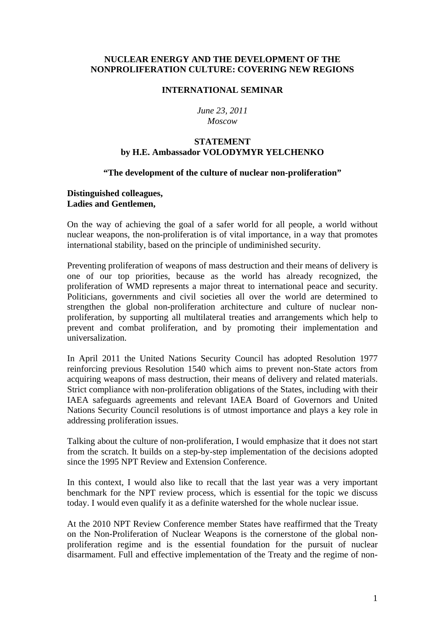## **NUCLEAR ENERGY AND THE DEVELOPMENT OF THE NONPROLIFERATION CULTURE: COVERING NEW REGIONS**

#### **INTERNATIONAL SEMINAR**

*June 23, 2011 Moscow*

# **STATEMENT by H.E. Ambassador VOLODYMYR YELCHENKO**

#### **"The development of the culture of nuclear non-proliferation"**

### **Distinguished colleagues, Ladies and Gentlemen,**

On the way of achieving the goal of a safer world for all people, a world without nuclear weapons, the non-proliferation is of vital importance, in a way that promotes international stability, based on the principle of undiminished security.

Preventing proliferation of weapons of mass destruction and their means of delivery is one of our top priorities, because as the world has already recognized, the proliferation of WMD represents a major threat to international peace and security. Politicians, governments and civil societies all over the world are determined to strengthen the global non-proliferation architecture and culture of nuclear nonproliferation, by supporting all multilateral treaties and arrangements which help to prevent and combat proliferation, and by promoting their implementation and universalization.

In April 2011 the United Nations Security Council has adopted Resolution 1977 reinforcing previous Resolution 1540 which aims to prevent non-State actors from acquiring weapons of mass destruction, their means of delivery and related materials. Strict compliance with non-proliferation obligations of the States, including with their IAEA safeguards agreements and relevant IAEA Board of Governors and United Nations Security Council resolutions is of utmost importance and plays a key role in addressing proliferation issues.

Talking about the culture of non-proliferation, I would emphasize that it does not start from the scratch. It builds on a step-by-step implementation of the decisions adopted since the 1995 NPT Review and Extension Conference.

In this context, I would also like to recall that the last year was a very important benchmark for the NPT review process, which is essential for the topic we discuss today. I would even qualify it as a definite watershed for the whole nuclear issue.

At the 2010 NPT Review Conference member States have reaffirmed that the Treaty on the Non-Proliferation of Nuclear Weapons is the cornerstone of the global nonproliferation regime and is the essential foundation for the pursuit of nuclear disarmament. Full and effective implementation of the Treaty and the regime of non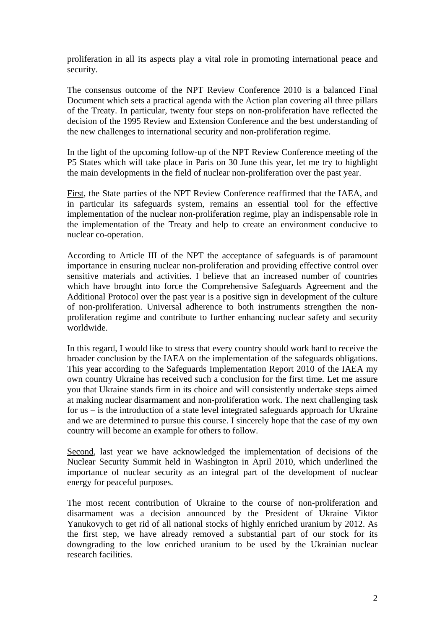proliferation in all its aspects play a vital role in promoting international peace and security.

The consensus outcome of the NPT Review Conference 2010 is a balanced Final Document which sets a practical agenda with the Action plan covering all three pillars of the Treaty. In particular, twenty four steps on non-proliferation have reflected the decision of the 1995 Review and Extension Conference and the best understanding of the new challenges to international security and non-proliferation regime.

In the light of the upcoming follow-up of the NPT Review Conference meeting of the P5 States which will take place in Paris on 30 June this year, let me try to highlight the main developments in the field of nuclear non-proliferation over the past year.

First, the State parties of the NPT Review Conference reaffirmed that the IAEA, and in particular its safeguards system, remains an essential tool for the effective implementation of the nuclear non-proliferation regime, play an indispensable role in the implementation of the Treaty and help to create an environment conducive to nuclear co-operation.

According to Article III of the NPT the acceptance of safeguards is of paramount importance in ensuring nuclear non-proliferation and providing effective control over sensitive materials and activities. I believe that an increased number of countries which have brought into force the Comprehensive Safeguards Agreement and the Additional Protocol over the past year is a positive sign in development of the culture of non-proliferation. Universal adherence to both instruments strengthen the nonproliferation regime and contribute to further enhancing nuclear safety and security worldwide.

In this regard, I would like to stress that every country should work hard to receive the broader conclusion by the IAEA on the implementation of the safeguards obligations. This year according to the Safeguards Implementation Report 2010 of the IAEA my own country Ukraine has received such a conclusion for the first time. Let me assure you that Ukraine stands firm in its choice and will consistently undertake steps aimed at making nuclear disarmament and non-proliferation work. The next challenging task for us – is the introduction of a state level integrated safeguards approach for Ukraine and we are determined to pursue this course. I sincerely hope that the case of my own country will become an example for others to follow.

Second, last year we have acknowledged the implementation of decisions of the Nuclear Security Summit held in Washington in April 2010, which underlined the importance of nuclear security as an integral part of the development of nuclear energy for peaceful purposes.

The most recent contribution of Ukraine to the course of non-proliferation and disarmament was a decision announced by the President of Ukraine Viktor Yanukovych to get rid of all national stocks of highly enriched uranium by 2012. As the first step, we have already removed a substantial part of our stock for its downgrading to the low enriched uranium to be used by the Ukrainian nuclear research facilities.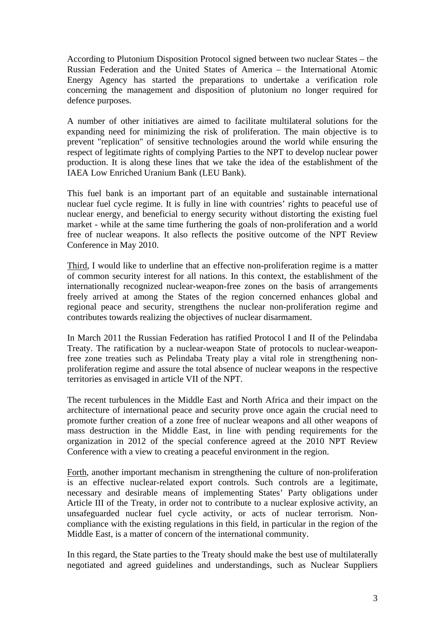According to Plutonium Disposition Protocol signed between two nuclear States – the Russian Federation and the United States of America – the International Atomic Energy Agency has started the preparations to undertake a verification role concerning the management and disposition of plutonium no longer required for defence purposes.

A number of other initiatives are aimed to facilitate multilateral solutions for the expanding need for minimizing the risk of proliferation. The main objective is to prevent "replication" of sensitive technologies around the world while ensuring the respect of legitimate rights of complying Parties to the NPT to develop nuclear power production. It is along these lines that we take the idea of the establishment of the IAEA Low Enriched Uranium Bank (LEU Bank).

This fuel bank is an important part of an equitable and sustainable international nuclear fuel cycle regime. It is fully in line with countries' rights to peaceful use of nuclear energy, and beneficial to energy security without distorting the existing fuel market - while at the same time furthering the goals of non-proliferation and a world free of nuclear weapons. It also reflects the positive outcome of the NPT Review Conference in May 2010.

Third, I would like to underline that an effective non-proliferation regime is a matter of common security interest for all nations. In this context, the establishment of the internationally recognized nuclear-weapon-free zones on the basis of arrangements freely arrived at among the States of the region concerned enhances global and regional peace and security, strengthens the nuclear non-proliferation regime and contributes towards realizing the objectives of nuclear disarmament.

In March 2011 the Russian Federation has ratified Protocol I and II of the Pelindaba Treaty. The ratification by a nuclear-weapon State of protocols to nuclear-weaponfree zone treaties such as Pelindaba Treaty play a vital role in strengthening nonproliferation regime and assure the total absence of nuclear weapons in the respective territories as envisaged in article VII of the NPT.

The recent turbulences in the Middle East and North Africa and their impact on the architecture of international peace and security prove once again the crucial need to promote further creation of a zone free of nuclear weapons and all other weapons of mass destruction in the Middle East, in line with pending requirements for the organization in 2012 of the special conference agreed at the 2010 NPT Review Conference with a view to creating a peaceful environment in the region.

Forth, another important mechanism in strengthening the culture of non-proliferation is an effective nuclear-related export controls. Such controls are a legitimate, necessary and desirable means of implementing States' Party obligations under Article III of the Treaty, in order not to contribute to a nuclear explosive activity, an unsafeguarded nuclear fuel cycle activity, or acts of nuclear terrorism. Noncompliance with the existing regulations in this field, in particular in the region of the Middle East, is a matter of concern of the international community.

In this regard, the State parties to the Treaty should make the best use of multilaterally negotiated and agreed guidelines and understandings, such as Nuclear Suppliers